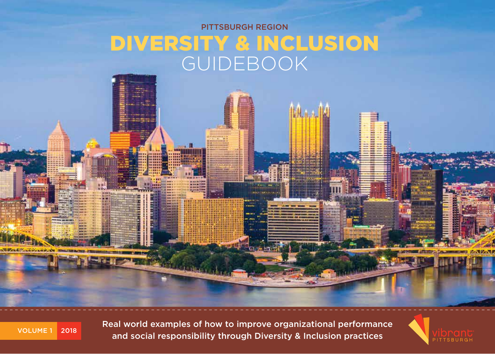# PITTSBURGH REGION DIVERSITY & INCLUSION GUIDEBOOK



Real world examples of how to improve organizational performance and social responsibility through Diversity & Inclusion practices

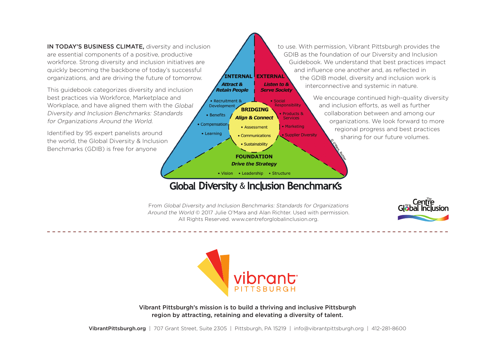IN TODAY'S BUSINESS CLIMATE, diversity and inclusion are essential components of a positive, productive workforce. Strong diversity and inclusion initiatives are quickly becoming the backbone of today's successful organizations, and are driving the future of tomorrow.

This guidebook categorizes diversity and inclusion best practices via Workforce, Marketplace and Workplace, and have aligned them with the Global Diversity and Inclusion Benchmarks: Standards for Organizations Around the World. • Compensation

Identified by 95 expert panelists around the world, the Global Diversity & Inclusion Benchmarks (GDIB) is free for anyone

to use. With permission, Vibrant Pittsburgh provides the GDIB as the foundation of our Diversity and Inclusion Guidebook. We understand that best practices impact and influence one another and, as reflected in **INTERNAL EXTERNAL** the GDIB model, diversity and inclusion work is **Listen to &** interconnective and systemic in nature. **Serve Society** 

> We encourage continued high-quality diversity and inclusion efforts, as well as further collaboration between and among our organizations. We look forward to more regional progress and best practices sharing for our future volumes.

Global Diversity & Inclusion Benchmarks

**BRIDGING** 

**Align & Connect** 

• Assessment

• Communications · Sustainability **FOUNDATION Drive the Strategy** • Vision • Leadership • Structure

 $\bullet$  Social Responsibility

Products &

• Marketing

Supplier Diversity

**Services** 

From Global Diversity and Inclusion Benchmarks: Standards for Organizations Around the World © 2017 Julie O'Mara and Alan Richter. Used with permission. All Rights Reserved. www.centreforglobalinclusion.org.

Attract &

**Retain People**  $\bullet$  Recruitment 8

**Development** 

• Benefits

• Learning





Vibrant Pittsburgh's mission is to build a thriving and inclusive Pittsburgh region by attracting, retaining and elevating a diversity of talent.

VibrantPittsburgh.org | 707 Grant Street, Suite 2305 | Pittsburgh, PA 15219 | info@vibrantpittsburgh.org | 412-281-8600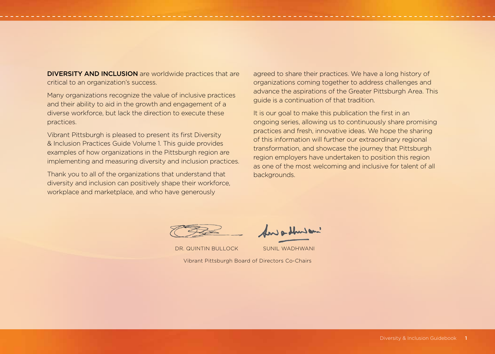DIVERSITY AND INCLUSION are worldwide practices that are critical to an organization's success.

Many organizations recognize the value of inclusive practices and their ability to aid in the growth and engagement of a diverse workforce, but lack the direction to execute these practices.

Vibrant Pittsburgh is pleased to present its first Diversity & Inclusion Practices Guide Volume 1. This guide provides examples of how organizations in the Pittsburgh region are implementing and measuring diversity and inclusion practices.

Thank you to all of the organizations that understand that diversity and inclusion can positively shape their workforce, workplace and marketplace, and who have generously

agreed to share their practices. We have a long history of organizations coming together to address challenges and advance the aspirations of the Greater Pittsburgh Area. This guide is a continuation of that tradition.

It is our goal to make this publication the first in an ongoing series, allowing us to continuously share promising practices and fresh, innovative ideas. We hope the sharing of this information will further our extraordinary regional transformation, and showcase the journey that Pittsburgh region employers have undertaken to position this region as one of the most welcoming and inclusive for talent of all backgrounds.



DR. QUINTIN BULLOCK SUNIL WADHWANI

Vibrant Pittsburgh Board of Directors Co-Chairs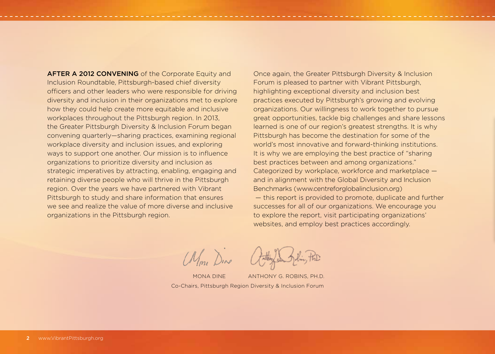AFTER A 2012 CONVENING of the Corporate Equity and Inclusion Roundtable, Pittsburgh-based chief diversity officers and other leaders who were responsible for driving diversity and inclusion in their organizations met to explore how they could help create more equitable and inclusive workplaces throughout the Pittsburgh region. In 2013, the Greater Pittsburgh Diversity & Inclusion Forum began convening quarterly—sharing practices, examining regional workplace diversity and inclusion issues, and exploring ways to support one another. Our mission is to influence organizations to prioritize diversity and inclusion as strategic imperatives by attracting, enabling, engaging and retaining diverse people who will thrive in the Pittsburgh region. Over the years we have partnered with Vibrant Pittsburgh to study and share information that ensures we see and realize the value of more diverse and inclusive organizations in the Pittsburgh region.

Once again, the Greater Pittsburgh Diversity & Inclusion Forum is pleased to partner with Vibrant Pittsburgh, highlighting exceptional diversity and inclusion best practices executed by Pittsburgh's growing and evolving organizations. Our willingness to work together to pursue great opportunities, tackle big challenges and share lessons learned is one of our region's greatest strengths. It is why Pittsburgh has become the destination for some of the world's most innovative and forward-thinking institutions. It is why we are employing the best practice of "sharing best practices between and among organizations." Categorized by workplace, workforce and marketplace and in alignment with the Global Diversity and Inclusion Benchmarks (www.centreforglobalinclusion.org) — this report is provided to promote, duplicate and further

successes for all of our organizations. We encourage you to explore the report, visit participating organizations' websites, and employ best practices accordingly.

Mm. Dine

Co-Chairs, Pittsburgh Region Diversity & Inclusion Forum MONA DINE ANTHONY G. ROBINS, PH.D.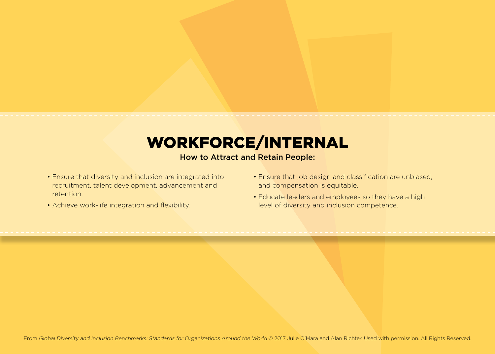# WORKFORCE/INTERNAL

### How to Attract and Retain People:

- Ensure that diversity and inclusion are integrated into recruitment, talent development, advancement and retention.
- Achieve work-life integration and flexibility.
- Ensure that job design and classification are unbiased, and compensation is equitable.
- Educate leaders and employees so they have a high level of diversity and inclusion competence.

From Global Diversity and Inclusion Benchmarks: Standards for Organizations Around the World @ 2017 Julie O'Mara and Alan Richter. Used with permission. All Rights Reserved.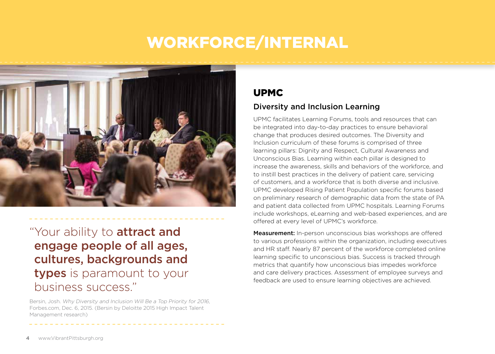# WORKFORCE/INTERNAL



"Your ability to **attract and** engage people of all ages, cultures, backgrounds and types is paramount to your business success."

Bersin, Josh. Why Diversity and Inclusion Will Be a Top Priority for 2016, Forbes.com, Dec. 6, 2015. (Bersin by Deloitte 2015 High Impact Talent Management research)

## UPMC

#### Diversity and Inclusion Learning

UPMC facilitates Learning Forums, tools and resources that can be integrated into day-to-day practices to ensure behavioral change that produces desired outcomes. The Diversity and Inclusion curriculum of these forums is comprised of three learning pillars: Dignity and Respect, Cultural Awareness and Unconscious Bias. Learning within each pillar is designed to increase the awareness, skills and behaviors of the workforce, and to instill best practices in the delivery of patient care, servicing of customers, and a workforce that is both diverse and inclusive. UPMC developed Rising Patient Population specific forums based on preliminary research of demographic data from the state of PA and patient data collected from UPMC hospitals. Learning Forums include workshops, eLearning and web-based experiences, and are offered at every level of UPMC's workforce.

Measurement: In-person unconscious bias workshops are offered to various professions within the organization, including executives and HR staff. Nearly 87 percent of the workforce completed online learning specific to unconscious bias. Success is tracked through metrics that quantify how unconscious bias impedes workforce and care delivery practices. Assessment of employee surveys and feedback are used to ensure learning objectives are achieved.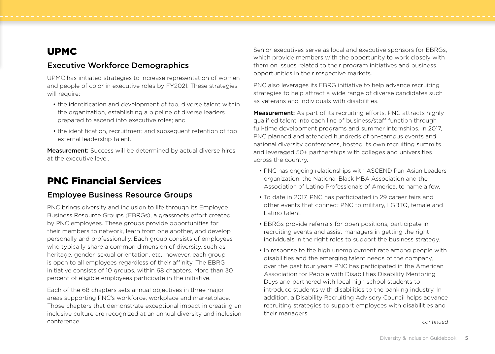## UPMC

### Executive Workforce Demographics

UPMC has initiated strategies to increase representation of women and people of color in executive roles by FY2021. These strategies will require:

- the identification and development of top, diverse talent within the organization, establishing a pipeline of diverse leaders prepared to ascend into executive roles; and
- the identification, recruitment and subsequent retention of top external leadership talent.

Measurement: Success will be determined by actual diverse hires at the executive level.

# PNC Financial Services

#### Employee Business Resource Groups

PNC brings diversity and inclusion to life through its Employee Business Resource Groups (EBRGs), a grassroots effort created by PNC employees. These groups provide opportunities for their members to network, learn from one another, and develop personally and professionally. Each group consists of employees who typically share a common dimension of diversity, such as heritage, gender, sexual orientation, etc.; however, each group is open to all employees regardless of their affinity. The EBRG initiative consists of 10 groups, within 68 chapters. More than 30 percent of eligible employees participate in the initiative.

Each of the 68 chapters sets annual objectives in three major areas supporting PNC's workforce, workplace and marketplace. Those chapters that demonstrate exceptional impact in creating an inclusive culture are recognized at an annual diversity and inclusion conference. Continued to a continued of the continued of the continued of the continued continued on the continued

Senior executives serve as local and executive sponsors for EBRGs, which provide members with the opportunity to work closely with them on issues related to their program initiatives and business opportunities in their respective markets.

PNC also leverages its EBRG initiative to help advance recruiting strategies to help attract a wide range of diverse candidates such as veterans and individuals with disabilities.

Measurement: As part of its recruiting efforts, PNC attracts highly qualified talent into each line of business/staff function through full-time development programs and summer internships. In 2017, PNC planned and attended hundreds of on-campus events and national diversity conferences, hosted its own recruiting summits and leveraged 50+ partnerships with colleges and universities across the country.

- PNC has ongoing relationships with ASCEND Pan-Asian Leaders organization, the National Black MBA Association and the Association of Latino Professionals of America, to name a few.
- To date in 2017, PNC has participated in 29 career fairs and other events that connect PNC to military, LGBTQ, female and Latino talent.
- EBRGs provide referrals for open positions, participate in recruiting events and assist managers in getting the right individuals in the right roles to support the business strategy.
- In response to the high unemployment rate among people with disabilities and the emerging talent needs of the company, over the past four years PNC has participated in the American Association for People with Disabilities Disability Mentoring Days and partnered with local high school students to introduce students with disabilities to the banking industry. In addition, a Disability Recruiting Advisory Council helps advance recruiting strategies to support employees with disabilities and their managers.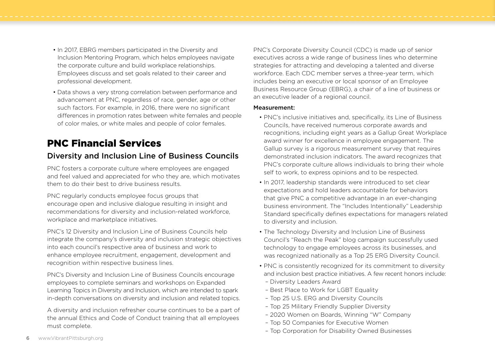- In 2017, EBRG members participated in the Diversity and Inclusion Mentoring Program, which helps employees navigate the corporate culture and build workplace relationships. Employees discuss and set goals related to their career and professional development.
- Data shows a very strong correlation between performance and advancement at PNC, regardless of race, gender, age or other such factors. For example, in 2016, there were no significant differences in promotion rates between white females and people of color males, or white males and people of color females.

## PNC Financial Services

#### Diversity and Inclusion Line of Business Councils

PNC fosters a corporate culture where employees are engaged and feel valued and appreciated for who they are, which motivates them to do their best to drive business results.

PNC regularly conducts employee focus groups that encourage open and inclusive dialogue resulting in insight and recommendations for diversity and inclusion-related workforce, workplace and marketplace initiatives.

PNC's 12 Diversity and Inclusion Line of Business Councils help integrate the company's diversity and inclusion strategic objectives into each council's respective area of business and work to enhance employee recruitment, engagement, development and recognition within respective business lines.

PNC's Diversity and Inclusion Line of Business Councils encourage employees to complete seminars and workshops on Expanded Learning Topics in Diversity and Inclusion, which are intended to spark in-depth conversations on diversity and inclusion and related topics.

A diversity and inclusion refresher course continues to be a part of the annual Ethics and Code of Conduct training that all employees must complete.

PNC's Corporate Diversity Council (CDC) is made up of senior executives across a wide range of business lines who determine strategies for attracting and developing a talented and diverse workforce. Each CDC member serves a three-year term, which includes being an executive or local sponsor of an Employee Business Resource Group (EBRG), a chair of a line of business or an executive leader of a regional council.

#### Measurement:

- PNC's inclusive initiatives and, specifically, its Line of Business Councils, have received numerous corporate awards and recognitions, including eight years as a Gallup Great Workplace award winner for excellence in employee engagement. The Gallup survey is a rigorous measurement survey that requires demonstrated inclusion indicators. The award recognizes that PNC's corporate culture allows individuals to bring their whole self to work, to express opinions and to be respected.
- In 2017, leadership standards were introduced to set clear expectations and hold leaders accountable for behaviors that give PNC a competitive advantage in an ever-changing business environment. The "Includes Intentionally" Leadership Standard specifically defines expectations for managers related to diversity and inclusion.
- The Technology Diversity and Inclusion Line of Business Council's "Reach the Peak" blog campaign successfully used technology to engage employees across its businesses, and was recognized nationally as a Top 25 ERG Diversity Council.
- PNC is consistently recognized for its commitment to diversity and inclusion best practice initiatives. A few recent honors include:
	- Diversity Leaders Award
	- Best Place to Work for LGBT Equality
	- Top 25 U.S. ERG and Diversity Councils
	- Top 25 Military Friendly Supplier Diversity
	- 2020 Women on Boards, Winning "W" Company
	- Top 50 Companies for Executive Women
	- Top Corporation for Disability Owned Businesses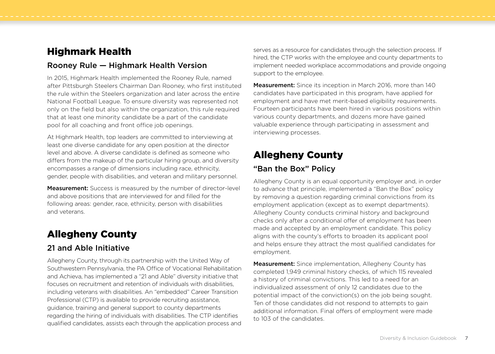## Highmark Health

#### Rooney Rule — Highmark Health Version

In 2015, Highmark Health implemented the Rooney Rule, named after Pittsburgh Steelers Chairman Dan Rooney, who first instituted the rule within the Steelers organization and later across the entire National Football League. To ensure diversity was represented not only on the field but also within the organization, this rule required that at least one minority candidate be a part of the candidate pool for all coaching and front office job openings.

At Highmark Health, top leaders are committed to interviewing at least one diverse candidate for any open position at the director level and above. A diverse candidate is defined as someone who differs from the makeup of the particular hiring group, and diversity encompasses a range of dimensions including race, ethnicity, gender, people with disabilities, and veteran and military personnel.

Measurement: Success is measured by the number of director-level and above positions that are interviewed for and filled for the following areas: gender, race, ethnicity, person with disabilities and veterans.

## Allegheny County

#### 21 and Able Initiative

Allegheny County, through its partnership with the United Way of Southwestern Pennsylvania, the PA Office of Vocational Rehabilitation and Achieva, has implemented a "21 and Able" diversity initiative that focuses on recruitment and retention of individuals with disabilities, including veterans with disabilities. An "embedded" Career Transition Professional (CTP) is available to provide recruiting assistance, guidance, training and general support to county departments regarding the hiring of individuals with disabilities. The CTP identifies qualified candidates, assists each through the application process and serves as a resource for candidates through the selection process. If hired, the CTP works with the employee and county departments to implement needed workplace accommodations and provide ongoing support to the employee.

**Measurement:** Since its inception in March 2016, more than 140 candidates have participated in this program, have applied for employment and have met merit-based eligibility requirements. Fourteen participants have been hired in various positions within various county departments, and dozens more have gained valuable experience through participating in assessment and interviewing processes.

## Allegheny County

#### "Ban the Box" Policy

Allegheny County is an equal opportunity employer and, in order to advance that principle, implemented a "Ban the Box" policy by removing a question regarding criminal convictions from its employment application (except as to exempt departments). Allegheny County conducts criminal history and background checks only after a conditional offer of employment has been made and accepted by an employment candidate. This policy aligns with the county's efforts to broaden its applicant pool and helps ensure they attract the most qualified candidates for employment.

Measurement: Since implementation, Allegheny County has completed 1,949 criminal history checks, of which 115 revealed a history of criminal convictions. This led to a need for an individualized assessment of only 12 candidates due to the potential impact of the conviction(s) on the job being sought. Ten of those candidates did not respond to attempts to gain additional information. Final offers of employment were made to 103 of the candidates.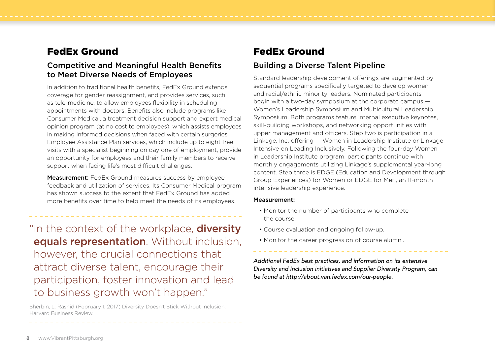## FedEx Ground

#### Competitive and Meaningful Health Benefits to Meet Diverse Needs of Employees

In addition to traditional health benefits, FedEx Ground extends coverage for gender reassignment, and provides services, such as tele-medicine, to allow employees flexibility in scheduling appointments with doctors. Benefits also include programs like Consumer Medical, a treatment decision support and expert medical opinion program (at no cost to employees), which assists employees in making informed decisions when faced with certain surgeries. Employee Assistance Plan services, which include up to eight free visits with a specialist beginning on day one of employment, provide an opportunity for employees and their family members to receive support when facing life's most difficult challenges.

**Measurement:** FedEx Ground measures success by employee feedback and utilization of services. Its Consumer Medical program has shown success to the extent that FedEx Ground has added more benefits over time to help meet the needs of its employees.

"In the context of the workplace, **diversity** equals representation. Without inclusion, however, the crucial connections that attract diverse talent, encourage their participation, foster innovation and lead to business growth won't happen."

Sherbin, L. Rashid (February 1, 2017) Diversity Doesn't Stick Without Inclusion. Harvard Business Review.

## FedEx Ground

## Building a Diverse Talent Pipeline

Standard leadership development offerings are augmented by sequential programs specifically targeted to develop women and racial/ethnic minority leaders. Nominated participants begin with a two-day symposium at the corporate campus — Women's Leadership Symposium and Multicultural Leadership Symposium. Both programs feature internal executive keynotes, skill-building workshops, and networking opportunities with upper management and officers. Step two is participation in a Linkage, Inc. offering — Women in Leadership Institute or Linkage Intensive on Leading Inclusively. Following the four-day Women in Leadership Institute program, participants continue with monthly engagements utilizing Linkage's supplemental year-long content. Step three is EDGE (Education and Development through Group Experiences) for Women or EDGE for Men, an 11-month intensive leadership experience.

#### Measurement:

- Monitor the number of participants who complete the course.
- Course evaluation and ongoing follow-up.
- Monitor the career progression of course alumni.

*Additional FedEx best practices, and information on its extensive Diversity and Inclusion initiatives and Supplier Diversity Program, can be found at http://about.van.fedex.com/our-people.*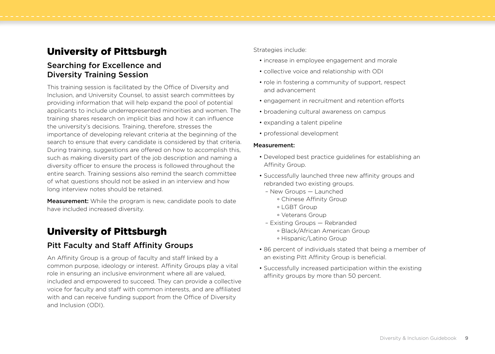## University of Pittsburgh

#### Searching for Excellence and Diversity Training Session

This training session is facilitated by the Office of Diversity and Inclusion, and University Counsel, to assist search committees by providing information that will help expand the pool of potential applicants to include underrepresented minorities and women. The training shares research on implicit bias and how it can influence the university's decisions. Training, therefore, stresses the importance of developing relevant criteria at the beginning of the search to ensure that every candidate is considered by that criteria. During training, suggestions are offered on how to accomplish this, such as making diversity part of the job description and naming a diversity officer to ensure the process is followed throughout the entire search. Training sessions also remind the search committee of what questions should not be asked in an interview and how long interview notes should be retained.

**Measurement:** While the program is new, candidate pools to date have included increased diversity.

## University of Pittsburgh

#### Pitt Faculty and Staff Affinity Groups

An Affinity Group is a group of faculty and staff linked by a common purpose, ideology or interest. Affinity Groups play a vital role in ensuring an inclusive environment where all are valued, included and empowered to succeed. They can provide a collective voice for faculty and staff with common interests, and are affiliated with and can receive funding support from the Office of Diversity and Inclusion (ODI).

#### Strategies include:

- increase in employee engagement and morale
- collective voice and relationship with ODI
- role in fostering a community of support, respect and advancement
- engagement in recruitment and retention efforts
- broadening cultural awareness on campus
- expanding a talent pipeline
- professional development

#### Measurement:

- Developed best practice guidelines for establishing an Affinity Group.
- Successfully launched three new affinity groups and rebranded two existing groups.
	- New Groups Launched
		- ° Chinese Affinity Group
		- ° LGBT Group
		- ° Veterans Group
	- Existing Groups Rebranded
		- ° Black/African American Group
		- ° Hispanic/Latino Group
- 86 percent of individuals stated that being a member of an existing Pitt Affinity Group is beneficial.
- Successfully increased participation within the existing affinity groups by more than 50 percent.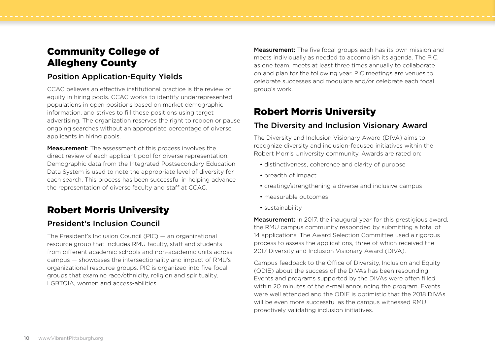# Community College of Allegheny County

### Position Application-Equity Yields

CCAC believes an effective institutional practice is the review of equity in hiring pools. CCAC works to identify underrepresented populations in open positions based on market demographic information, and strives to fill those positions using target advertising. The organization reserves the right to reopen or pause ongoing searches without an appropriate percentage of diverse applicants in hiring pools.

**Measurement:** The assessment of this process involves the direct review of each applicant pool for diverse representation. Demographic data from the Integrated Postsecondary Education Data System is used to note the appropriate level of diversity for each search. This process has been successful in helping advance the representation of diverse faculty and staff at CCAC.

## Robert Morris University

#### President's Inclusion Council

The President's Inclusion Council (PIC) — an organizational resource group that includes RMU faculty, staff and students from different academic schools and non-academic units across campus — showcases the intersectionality and impact of RMU's organizational resource groups. PIC is organized into five focal groups that examine race/ethnicity, religion and spirituality, LGBTQIA, women and access-abilities.

**Measurement:** The five focal groups each has its own mission and meets individually as needed to accomplish its agenda. The PIC, as one team, meets at least three times annually to collaborate on and plan for the following year. PIC meetings are venues to celebrate successes and modulate and/or celebrate each focal group's work.

## Robert Morris University

### The Diversity and Inclusion Visionary Award

The Diversity and Inclusion Visionary Award (DIVA) aims to recognize diversity and inclusion-focused initiatives within the Robert Morris University community. Awards are rated on:

- distinctiveness, coherence and clarity of purpose
- breadth of impact
- creating/strengthening a diverse and inclusive campus
- measurable outcomes
- sustainability

**Measurement:** In 2017, the inaugural year for this prestigious award, the RMU campus community responded by submitting a total of 14 applications. The Award Selection Committee used a rigorous process to assess the applications, three of which received the 2017 Diversity and Inclusion Visionary Award (DIVA).

Campus feedback to the Office of Diversity, Inclusion and Equity (ODIE) about the success of the DIVAs has been resounding. Events and programs supported by the DIVAs were often filled within 20 minutes of the e-mail announcing the program. Events were well attended and the ODIE is optimistic that the 2018 DIVAs will be even more successful as the campus witnessed RMU proactively validating inclusion initiatives.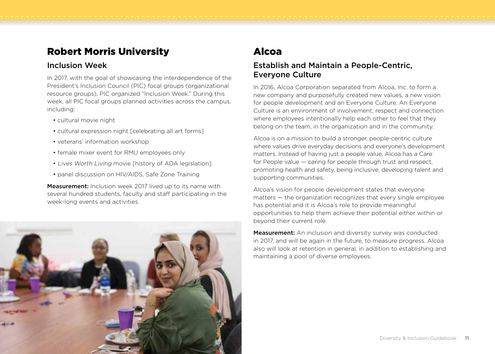## Robert Morris University

#### Inclusion Week

In 2017, with the goal of showcasing the interdependence of the President's Inclusion Council (PIC) focal groups (organizational resource groups), PIC organized "Inclusion Week." During this week, all PIC focal groups planned activities across the campus, including:

- cultural movie night
- cultural expression night [celebrating all art forms]
- veterans' information workshop
- female mixer event for RMU employees only
- Lives Worth Living movie [history of ADA legislation]
- panel discussion on HIV/AIDS, Safe Zone Training

**Measurement:** Inclusion week 2017 lived up to its name with several hundred students, faculty and staff participating in the week-long events and activities.



# Alcoa

#### Establish and Maintain a People-Centric, Everyone Culture

In 2016, Alcoa Corporation separated from Alcoa, Inc. to form a new company and purposefully created new values, a new vision for people development and an Everyone Culture. An Everyone Culture is an environment of involvement, respect and connection where employees intentionally help each other to feel that they belong on the team, in the organization and in the community.

Alcoa is on a mission to build a stronger, people-centric culture where values drive everyday decisions and everyone's development matters. Instead of having just a people value, Alcoa has a Care for People value — caring for people through trust and respect, promoting health and safety, being inclusive, developing talent and supporting communities.

Alcoa's vision for people development states that everyone matters — the organization recognizes that every single employee has potential and it is Alcoa's role to provide meaningful opportunities to help them achieve their potential either within or beyond their current role.

**Measurement:** An inclusion and diversity survey was conducted in 2017, and will be again in the future, to measure progress. Alcoa also will look at retention in general, in addition to establishing and maintaining a pool of diverse employees.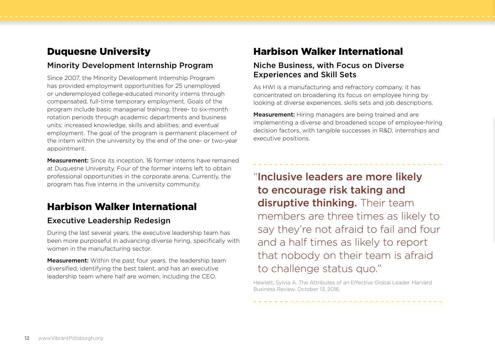## Duquesne University

#### Minority Development Internship Program

Since 2007, the Minority Development Internship Program has provided employment opportunities for 25 unemployed or underemployed college-educated minority interns through compensated, full-time temporary employment. Goals of the program include basic managerial training; three- to six-month rotation periods through academic departments and business units; increased knowledge, skills and abilities; and eventual employment. The goal of the program is permanent placement of the intern within the university by the end of the one- or two-year appointment.

**Measurement:** Since its inception, 16 former interns have remained at Duquesne University. Four of the former interns left to obtain professional opportunities in the corporate arena. Currently, the program has five interns in the university community.

## Harbison Walker International

#### Executive Leadership Redesign

During the last several years, the executive leadership team has been more purposeful in advancing diverse hiring, specifically with women in the manufacturing sector.

**Measurement:** Within the past four years, the leadership team diversified, identifying the best talent, and has an executive leadership team where half are women, including the CEO.

## Harbison Walker International

#### Niche Business, with Focus on Diverse Experiences and Skill Sets

As HWI is a manufacturing and refractory company, it has concentrated on broadening its focus on employee hiring by looking at diverse experiences, skills sets and job descriptions.

Measurement: Hiring managers are being trained and are implementing a diverse and broadened scope of employee-hiring decision factors, with tangible successes in R&D, internships and executive positions.

"Inclusive leaders are more likely to encourage risk taking and disruptive thinking. Their team members are three times as likely to say they're not afraid to fail and four and a half times as likely to report that nobody on their team is afraid to challenge status quo."

Hewlett, Sylvia A. The Attributes of an Effective Global Leader. Harvard Business Review. October 13, 2016.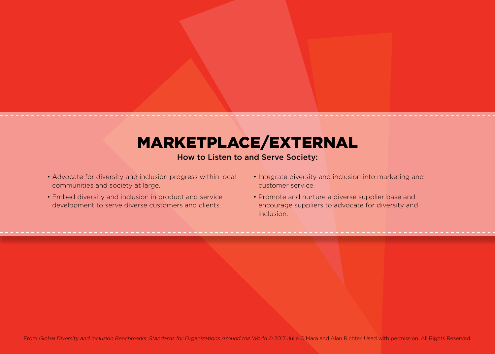# MARKETPLACE/EXTERNAL

#### How to Listen to and Serve Society:

- Advocate for diversity and inclusion progress within local communities and society at large.
- Embed diversity and inclusion in product and service development to serve diverse customers and clients.
- Integrate diversity and inclusion into marketing and customer service.
- Promote and nurture a diverse supplier base and encourage suppliers to advocate for diversity and inclusion.

From Global Diversity and Inclusion Benchmarks: Standards for Organizations Around the World @ 2017 Julie O'Mara and Alan Richter. Used with permission. All Rights Reserved.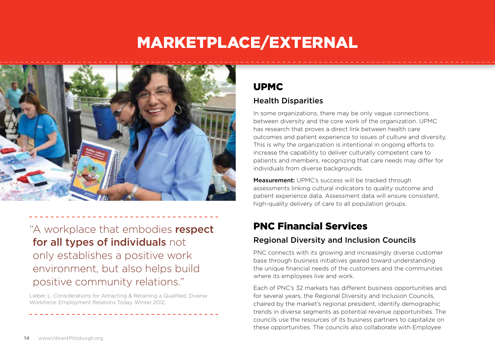# MARKETPLACE/EXTERNAL



"A workplace that embodies respect for all types of individuals not only establishes a positive work environment, but also helps build positive community relations."

Lieber, L. Considerations for Attracting & Retaining a Qualified, Diverse Workforce. Employment Relations Today. Winter 2012.

## UPMC

## Health Disparities

In some organizations, there may be only vague connections between diversity and the core work of the organization. UPMC has research that proves a direct link between health care outcomes and patient experience to issues of culture and diversity. This is why the organization is intentional in ongoing efforts to increase the capability to deliver culturally competent care to patients and members, recognizing that care needs may differ for individuals from diverse backgrounds.

Measurement: UPMC's success will be tracked through assessments linking cultural indicators to quality outcome and patient experience data. Assessment data will ensure consistent, high-quality delivery of care to all population groups.

# PNC Financial Services

## Regional Diversity and Inclusion Councils

PNC connects with its growing and increasingly diverse customer base through business initiatives geared toward understanding the unique financial needs of the customers and the communities where its employees live and work.

Each of PNC's 32 markets has different business opportunities and, for several years, the Regional Diversity and Inclusion Councils, chaired by the market's regional president, identify demographic trends in diverse segments as potential revenue opportunities. The councils use the resources of its business partners to capitalize on these opportunities. The councils also collaborate with Employee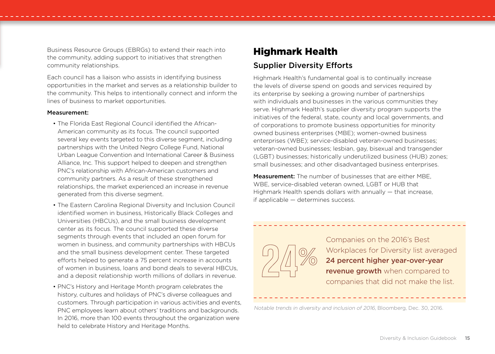Business Resource Groups (EBRGs) to extend their reach into the community, adding support to initiatives that strengthen community relationships.

Each council has a liaison who assists in identifying business opportunities in the market and serves as a relationship builder to the community. This helps to intentionally connect and inform the lines of business to market opportunities.

#### Measurement:

- The Florida East Regional Council identified the African-American community as its focus. The council supported several key events targeted to this diverse segment, including partnerships with the United Negro College Fund, National Urban League Convention and International Career & Business Alliance, Inc. This support helped to deepen and strengthen PNC's relationship with African-American customers and community partners. As a result of these strengthened relationships, the market experienced an increase in revenue generated from this diverse segment.
- The Eastern Carolina Regional Diversity and Inclusion Council identified women in business, Historically Black Colleges and Universities (HBCUs), and the small business development center as its focus. The council supported these diverse segments through events that included an open forum for women in business, and community partnerships with HBCUs and the small business development center. These targeted efforts helped to generate a 75 percent increase in accounts of women in business, loans and bond deals to several HBCUs, and a deposit relationship worth millions of dollars in revenue.
- PNC's History and Heritage Month program celebrates the history, cultures and holidays of PNC's diverse colleagues and customers. Through participation in various activities and events, PNC employees learn about others' traditions and backgrounds. In 2016, more than 100 events throughout the organization were held to celebrate History and Heritage Months.

## Highmark Health

#### Supplier Diversity Efforts

Highmark Health's fundamental goal is to continually increase the levels of diverse spend on goods and services required by its enterprise by seeking a growing number of partnerships with individuals and businesses in the various communities they serve. Highmark Health's supplier diversity program supports the initiatives of the federal, state, county and local governments, and of corporations to promote business opportunities for minority owned business enterprises (MBE); women-owned business enterprises (WBE); service-disabled veteran-owned businesses; veteran-owned businesses; lesbian, gay, bisexual and transgender (LGBT) businesses; historically underutilized business (HUB) zones; small businesses; and other disadvantaged business enterprises.

**Measurement:** The number of businesses that are either MBE. WBE, service-disabled veteran owned, LGBT or HUB that Highmark Health spends dollars with annually — that increase, if applicable — determines success.



Companies on the 2016's Best Workplaces for Diversity list averaged 24 percent higher year-over-year revenue growth when compared to companies that did not make the list.

Notable trends in diversity and inclusion of 2016, Bloomberg, Dec. 30, 2016.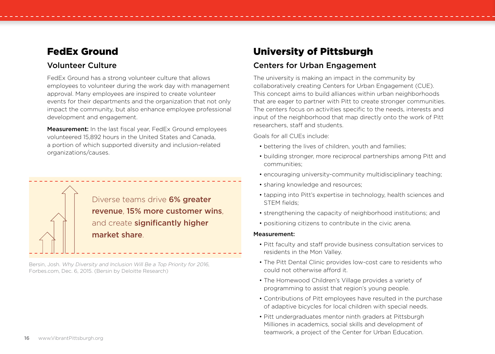## FedEx Ground

#### Volunteer Culture

FedEx Ground has a strong volunteer culture that allows employees to volunteer during the work day with management approval. Many employees are inspired to create volunteer events for their departments and the organization that not only impact the community, but also enhance employee professional development and engagement.

Measurement: In the last fiscal year, FedEx Ground employees volunteered 15,892 hours in the United States and Canada, a portion of which supported diversity and inclusion-related organizations/causes.

> Diverse teams drive 6% greater revenue, 15% more customer wins, and create significantly higher market share.

Bersin, Josh. Why Diversity and Inclusion Will Be a Top Priority for 2016, Forbes.com, Dec. 6, 2015. (Bersin by Deloitte Research)

## University of Pittsburgh

## Centers for Urban Engagement

The university is making an impact in the community by collaboratively creating Centers for Urban Engagement (CUE). This concept aims to build alliances within urban neighborhoods that are eager to partner with Pitt to create stronger communities. The centers focus on activities specific to the needs, interests and input of the neighborhood that map directly onto the work of Pitt researchers, staff and students.

Goals for all CUEs include:

- bettering the lives of children, youth and families;
- building stronger, more reciprocal partnerships among Pitt and communities;
- encouraging university-community multidisciplinary teaching;
- sharing knowledge and resources;
- tapping into Pitt's expertise in technology, health sciences and STEM fields;
- strengthening the capacity of neighborhood institutions; and
- positioning citizens to contribute in the civic arena.

#### Measurement:

- Pitt faculty and staff provide business consultation services to residents in the Mon Valley.
- The Pitt Dental Clinic provides low-cost care to residents who could not otherwise afford it.
- The Homewood Children's Village provides a variety of programming to assist that region's young people.
- Contributions of Pitt employees have resulted in the purchase of adaptive bicycles for local children with special needs.
- Pitt undergraduates mentor ninth graders at Pittsburgh Milliones in academics, social skills and development of teamwork, a project of the Center for Urban Education.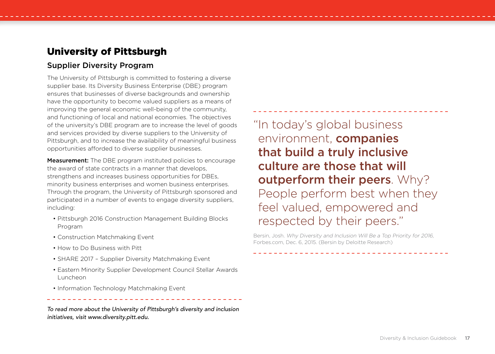## University of Pittsburgh

#### Supplier Diversity Program

The University of Pittsburgh is committed to fostering a diverse supplier base. Its Diversity Business Enterprise (DBE) program ensures that businesses of diverse backgrounds and ownership have the opportunity to become valued suppliers as a means of improving the general economic well-being of the community, and functioning of local and national economies. The objectives of the university's DBE program are to increase the level of goods and services provided by diverse suppliers to the University of Pittsburgh, and to increase the availability of meaningful business opportunities afforded to diverse supplier businesses.

**Measurement:** The DBE program instituted policies to encourage the award of state contracts in a manner that develops, strengthens and increases business opportunities for DBEs, minority business enterprises and women business enterprises. Through the program, the University of Pittsburgh sponsored and participated in a number of events to engage diversity suppliers, including:

- Pittsburgh 2016 Construction Management Building Blocks Program
- Construction Matchmaking Event
- How to Do Business with Pitt
- SHARE 2017 Supplier Diversity Matchmaking Event
- Eastern Minority Supplier Development Council Stellar Awards Luncheon
- Information Technology Matchmaking Event

*To read more about the University of Pittsburgh's diversity and inclusion initiatives, visit www.diversity.pitt.edu.*

"In today's global business environment, **companies** that build a truly inclusive culture are those that will outperform their peers. Why? People perform best when they feel valued, empowered and respected by their peers."

Bersin, Josh. Why Diversity and Inclusion Will Be a Top Priority for 2016, Forbes.com, Dec. 6, 2015. (Bersin by Deloitte Research)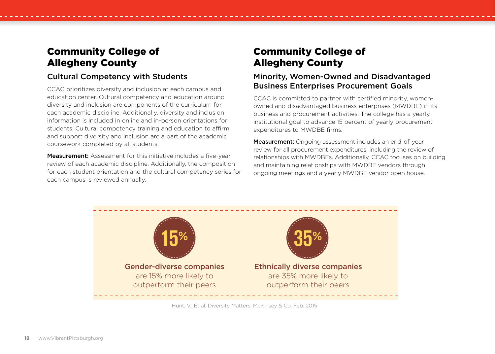# Community College of Allegheny County

### Cultural Competency with Students

CCAC prioritizes diversity and inclusion at each campus and education center. Cultural competency and education around diversity and inclusion are components of the curriculum for each academic discipline. Additionally, diversity and inclusion information is included in online and in-person orientations for students. Cultural competency training and education to affirm and support diversity and inclusion are a part of the academic coursework completed by all students.

**Measurement:** Assessment for this initiative includes a five-year review of each academic discipline. Additionally, the composition for each student orientation and the cultural competency series for each campus is reviewed annually.

## Community College of Allegheny County

### Minority, Women-Owned and Disadvantaged Business Enterprises Procurement Goals

CCAC is committed to partner with certified minority, womenowned and disadvantaged business enterprises (MWDBE) in its business and procurement activities. The college has a yearly institutional goal to advance 15 percent of yearly procurement expenditures to MWDBE firms.

Measurement: Ongoing assessment includes an end-of-year review for all procurement expenditures, including the review of relationships with MWDBEs. Additionally, CCAC focuses on building and maintaining relationships with MWDBE vendors through ongoing meetings and a yearly MWDBE vendor open house.



Hunt, V., Et al, Diversity Matters. McKinsey & Co. Feb. 2015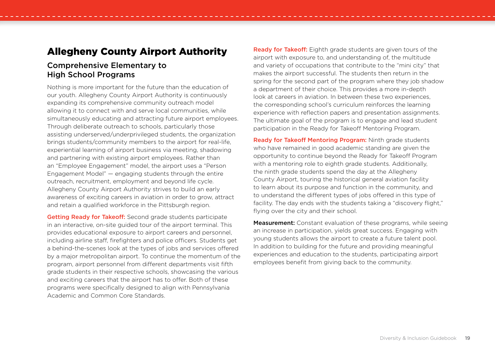## Allegheny County Airport Authority

#### Comprehensive Elementary to High School Programs

Nothing is more important for the future than the education of our youth. Allegheny County Airport Authority is continuously expanding its comprehensive community outreach model allowing it to connect with and serve local communities, while simultaneously educating and attracting future airport employees. Through deliberate outreach to schools, particularly those assisting underserved/underprivileged students, the organization brings students/community members to the airport for real-life, experiential learning of airport business via meeting, shadowing and partnering with existing airport employees. Rather than an "Employee Engagement" model, the airport uses a "Person Engagement Model" — engaging students through the entire outreach, recruitment, employment and beyond life cycle. Allegheny County Airport Authority strives to build an early awareness of exciting careers in aviation in order to grow, attract and retain a qualified workforce in the Pittsburgh region.

Getting Ready for Takeoff: Second grade students participate in an interactive, on-site guided tour of the airport terminal. This provides educational exposure to airport careers and personnel, including airline staff, firefighters and police officers. Students get a behind-the-scenes look at the types of jobs and services offered by a major metropolitan airport. To continue the momentum of the program, airport personnel from different departments visit fifth grade students in their respective schools, showcasing the various and exciting careers that the airport has to offer. Both of these programs were specifically designed to align with Pennsylvania Academic and Common Core Standards.

**Ready for Takeoff:** Eighth grade students are given tours of the airport with exposure to, and understanding of, the multitude and variety of occupations that contribute to the "mini city" that makes the airport successful. The students then return in the spring for the second part of the program where they job shadow a department of their choice. This provides a more in-depth look at careers in aviation. In between these two experiences, the corresponding school's curriculum reinforces the learning experience with reflection papers and presentation assignments. The ultimate goal of the program is to engage and lead student participation in the Ready for Takeoff Mentoring Program.

Ready for Takeoff Mentoring Program: Ninth grade students who have remained in good academic standing are given the opportunity to continue beyond the Ready for Takeoff Program with a mentoring role to eighth grade students. Additionally, the ninth grade students spend the day at the Allegheny County Airport, touring the historical general aviation facility to learn about its purpose and function in the community, and to understand the different types of jobs offered in this type of facility. The day ends with the students taking a "discovery flight," flying over the city and their school.

**Measurement:** Constant evaluation of these programs, while seeing an increase in participation, yields great success. Engaging with young students allows the airport to create a future talent pool. In addition to building for the future and providing meaningful experiences and education to the students, participating airport employees benefit from giving back to the community.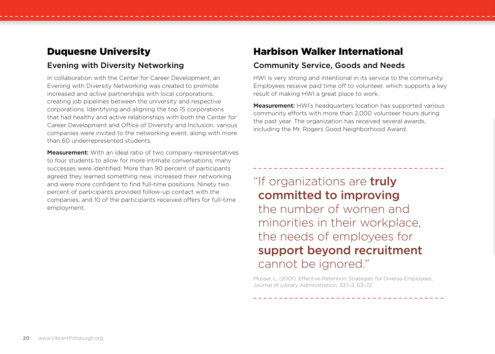## Duquesne University

#### Evening with Diversity Networking

In collaboration with the Center for Career Development, an Evening with Diversity Networking was created to promote increased and active partnerships with local corporations, creating job pipelines between the university and respective corporations. Identifying and aligning the top 15 corporations that had healthy and active relationships with both the Center for Career Development and Office of Diversity and Inclusion, various companies were invited to the networking event, along with more than 60 underrepresented students.

**Measurement:** With an ideal ratio of two company representatives to four students to allow for more intimate conversations, many successes were identified. More than 90 percent of participants agreed they learned something new, increased their networking and were more confident to find full-time positions. Ninety two percent of participants provided follow-up contact with the companies, and 10 of the participants received offers for full-time employment.

## Harbison Walker International

#### Community Service, Goods and Needs

HWI is very strong and intentional in its service to the community. Employees receive paid time off to volunteer, which supports a key result of making HWI a great place to work.

**Measurement:** HWI's headquarters location has supported various community efforts with more than 2,000 volunteer hours during the past year. The organization has received several awards, including the Mr. Rogers Good Neighborhood Award.

# "If organizations are **truly** committed to improving the number of women and minorities in their workplace, the needs of employees for support beyond recruitment cannot be ignored."

Musser, L. (2001). Effective Retention Strategies for Diverse Employees, Journal of Library Administration, 33:1–2, 63–72.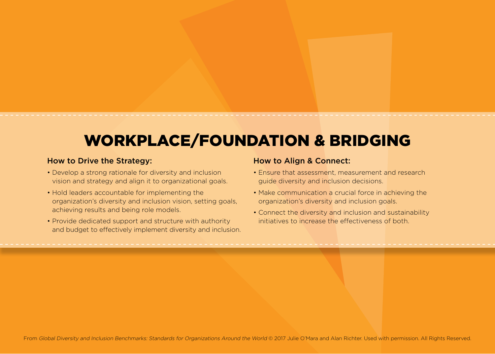# WORKPLACE/FOUNDATION & BRIDGING

#### How to Drive the Strategy:

- Develop a strong rationale for diversity and inclusion vision and strategy and align it to organizational goals.
- Hold leaders accountable for implementing the organization's diversity and inclusion vision, setting goals, achieving results and being role models.
- Provide dedicated support and structure with authority and budget to effectively implement diversity and inclusion.

#### How to Align & Connect:

- Ensure that assessment, measurement and research guide diversity and inclusion decisions.
- Make communication a crucial force in achieving the organization's diversity and inclusion goals.
- Connect the diversity and inclusion and sustainability initiatives to increase the effectiveness of both.

From Global Diversity and Inclusion Benchmarks: Standards for Organizations Around the World @ 2017 Julie O'Mara and Alan Richter. Used with permission. All Rights Reserved.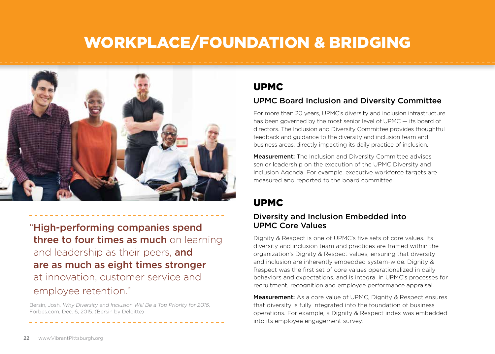# WORKPLACE/FOUNDATION & BRIDGING



"High-performing companies spend three to four times as much on learning and leadership as their peers, and are as much as eight times stronger at innovation, customer service and employee retention."

Bersin, Josh. Why Diversity and Inclusion Will Be a Top Priority for 2016, Forbes.com, Dec. 6, 2015. (Bersin by Deloitte)

## UPMC

#### UPMC Board Inclusion and Diversity Committee

For more than 20 years, UPMC's diversity and inclusion infrastructure has been governed by the most senior level of UPMC — its board of directors. The Inclusion and Diversity Committee provides thoughtful feedback and guidance to the diversity and inclusion team and business areas, directly impacting its daily practice of inclusion.

**Measurement:** The Inclusion and Diversity Committee advises senior leadership on the execution of the UPMC Diversity and Inclusion Agenda. For example, executive workforce targets are measured and reported to the board committee.

## UPMC

#### Diversity and Inclusion Embedded into UPMC Core Values

Dignity & Respect is one of UPMC's five sets of core values. Its diversity and inclusion team and practices are framed within the organization's Dignity & Respect values, ensuring that diversity and inclusion are inherently embedded system-wide. Dignity & Respect was the first set of core values operationalized in daily behaviors and expectations, and is integral in UPMC's processes for recruitment, recognition and employee performance appraisal.

Measurement: As a core value of UPMC, Dignity & Respect ensures that diversity is fully integrated into the foundation of business operations. For example, a Dignity & Respect index was embedded into its employee engagement survey.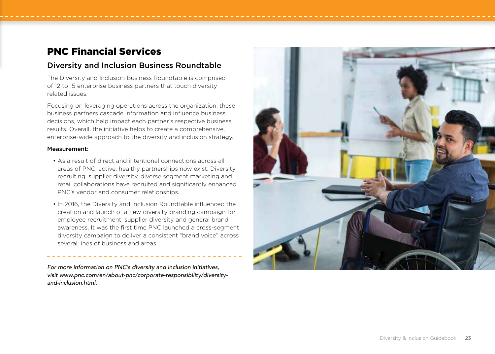## PNC Financial Services

#### Diversity and Inclusion Business Roundtable

The Diversity and Inclusion Business Roundtable is comprised of 12 to 15 enterprise business partners that touch diversity related issues.

Focusing on leveraging operations across the organization, these business partners cascade information and influence business decisions, which help impact each partner's respective business results. Overall, the initiative helps to create a comprehensive, enterprise-wide approach to the diversity and inclusion strategy.

#### Measurement:

- As a result of direct and intentional connections across all areas of PNC, active, healthy partnerships now exist. Diversity recruiting, supplier diversity, diverse segment marketing and retail collaborations have recruited and significantly enhanced PNC's vendor and consumer relationships.
- In 2016, the Diversity and Inclusion Roundtable influenced the creation and launch of a new diversity branding campaign for employee recruitment, supplier diversity and general brand awareness. It was the first time PNC launched a cross-segment diversity campaign to deliver a consistent "brand voice" across several lines of business and areas.

*For more information on PNC's diversity and inclusion initiatives, visit www.pnc.com/en/about-pnc/corporate-responsibility/diversityand-inclusion.html.*

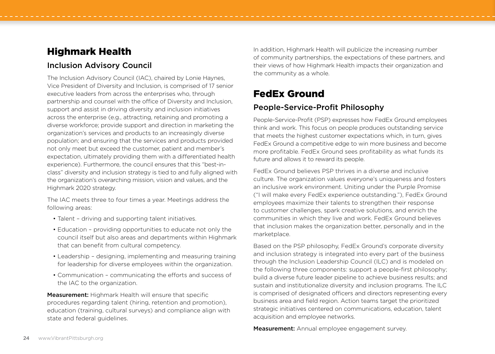## Highmark Health

### Inclusion Advisory Council

The Inclusion Advisory Council (IAC), chaired by Lonie Haynes, Vice President of Diversity and Inclusion, is comprised of 17 senior executive leaders from across the enterprises who, through partnership and counsel with the office of Diversity and Inclusion, support and assist in driving diversity and inclusion initiatives across the enterprise (e.g., attracting, retaining and promoting a diverse workforce; provide support and direction in marketing the organization's services and products to an increasingly diverse population; and ensuring that the services and products provided not only meet but exceed the customer, patient and member's expectation, ultimately providing them with a differentiated health experience). Furthermore, the council ensures that this "best-inclass" diversity and inclusion strategy is tied to and fully aligned with the organization's overarching mission, vision and values, and the Highmark 2020 strategy.

The IAC meets three to four times a year. Meetings address the following areas:

- Talent driving and supporting talent initiatives.
- Education providing opportunities to educate not only the council itself but also areas and departments within Highmark that can benefit from cultural competency.
- Leadership designing, implementing and measuring training for leadership for diverse employees within the organization.
- Communication communicating the efforts and success of the IAC to the organization.

Measurement: Highmark Health will ensure that specific procedures regarding talent (hiring, retention and promotion), education (training, cultural surveys) and compliance align with state and federal guidelines.

In addition, Highmark Health will publicize the increasing number of community partnerships, the expectations of these partners, and their views of how Highmark Health impacts their organization and the community as a whole.

# FedEx Ground

## People-Service-Profit Philosophy

People-Service-Profit (PSP) expresses how FedEx Ground employees think and work. This focus on people produces outstanding service that meets the highest customer expectations which, in turn, gives FedEx Ground a competitive edge to win more business and become more profitable. FedEx Ground sees profitability as what funds its future and allows it to reward its people.

FedEx Ground believes PSP thrives in a diverse and inclusive culture. The organization values everyone's uniqueness and fosters an inclusive work environment. Uniting under the Purple Promise ("I will make every FedEx experience outstanding."), FedEx Ground employees maximize their talents to strengthen their response to customer challenges, spark creative solutions, and enrich the communities in which they live and work. FedEx Ground believes that inclusion makes the organization better, personally and in the marketplace.

Based on the PSP philosophy, FedEx Ground's corporate diversity and inclusion strategy is integrated into every part of the business through the Inclusion Leadership Council (ILC) and is modeled on the following three components: support a people-first philosophy; build a diverse future leader pipeline to achieve business results; and sustain and institutionalize diversity and inclusion programs. The ILC is comprised of designated officers and directors representing every business area and field region. Action teams target the prioritized strategic initiatives centered on communications, education, talent acquisition and employee networks.

Measurement: Annual employee engagement survey.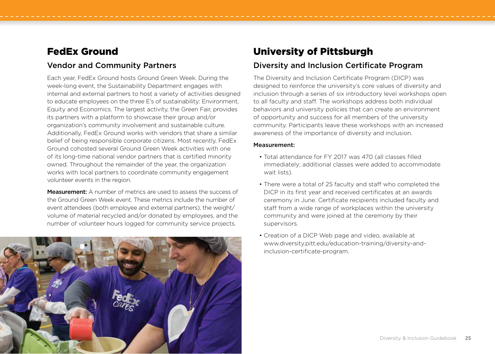## FedEx Ground

#### Vendor and Community Partners

Each year, FedEx Ground hosts Ground Green Week. During the week-long event, the Sustainability Department engages with internal and external partners to host a variety of activities designed to educate employees on the three E's of sustainability: Environment, Equity and Economics. The largest activity, the Green Fair, provides its partners with a platform to showcase their group and/or organization's community involvement and sustainable culture. Additionally, FedEx Ground works with vendors that share a similar belief of being responsible corporate citizens. Most recently, FedEx Ground cohosted several Ground Green Week activities with one of its long-time national vendor partners that is certified minority owned. Throughout the remainder of the year, the organization works with local partners to coordinate community engagement volunteer events in the region.

Measurement: A number of metrics are used to assess the success of the Ground Green Week event. These metrics include the number of event attendees (both employee and external partners), the weight/ volume of material recycled and/or donated by employees, and the number of volunteer hours logged for community service projects.



## University of Pittsburgh

### Diversity and Inclusion Certificate Program

The Diversity and Inclusion Certificate Program (DICP) was designed to reinforce the university's core values of diversity and inclusion through a series of six introductory level workshops open to all faculty and staff. The workshops address both individual behaviors and university policies that can create an environment of opportunity and success for all members of the university community. Participants leave these workshops with an increased awareness of the importance of diversity and inclusion.

#### Measurement:

- Total attendance for FY 2017 was 470 (all classes filled immediately; additional classes were added to accommodate wait lists).
- There were a total of 25 faculty and staff who completed the DICP in its first year and received certificates at an awards ceremony in June. Certificate recipients included faculty and staff from a wide range of workplaces within the university community and were joined at the ceremony by their supervisors.
- Creation of a DICP Web page and video, available at www.diversity.pitt.edu/education-training/diversity-andinclusion-certificate-program.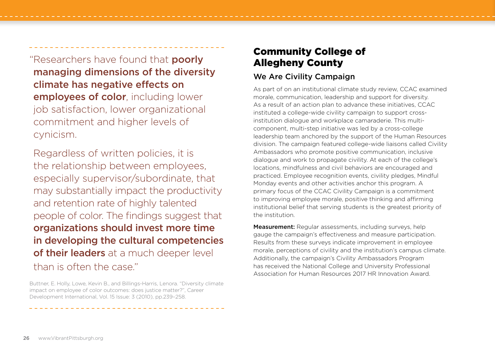'Researchers have found that **poorly** managing dimensions of the diversity climate has negative effects on employees of color, including lower job satisfaction, lower organizational commitment and higher levels of cynicism.

Regardless of written policies, it is the relationship between employees, especially supervisor/subordinate, that may substantially impact the productivity and retention rate of highly talented people of color. The findings suggest that organizations should invest more time in developing the cultural competencies of their leaders at a much deeper level than is often the case."

Buttner, E. Holly, Lowe, Kevin B., and Billings-Harris, Lenora. "Diversity climate impact on employee of color outcomes: does justice matter?", Career Development International, Vol. 15 Issue: 3 (2010), pp.239–258.

# Community College of Allegheny County

### We Are Civility Campaign

As part of on an institutional climate study review, CCAC examined morale, communication, leadership and support for diversity. As a result of an action plan to advance these initiatives, CCAC instituted a college-wide civility campaign to support crossinstitution dialogue and workplace camaraderie. This multicomponent, multi-step initiative was led by a cross-college leadership team anchored by the support of the Human Resources division. The campaign featured college-wide liaisons called Civility Ambassadors who promote positive communication, inclusive dialogue and work to propagate civility. At each of the college's locations, mindfulness and civil behaviors are encouraged and practiced. Employee recognition events, civility pledges, Mindful Monday events and other activities anchor this program. A primary focus of the CCAC Civility Campaign is a commitment to improving employee morale, positive thinking and affirming institutional belief that serving students is the greatest priority of the institution.

**Measurement:** Regular assessments, including surveys, help gauge the campaign's effectiveness and measure participation. Results from these surveys indicate improvement in employee morale, perceptions of civility and the institution's campus climate. Additionally, the campaign's Civility Ambassadors Program has received the National College and University Professional Association for Human Resources 2017 HR Innovation Award.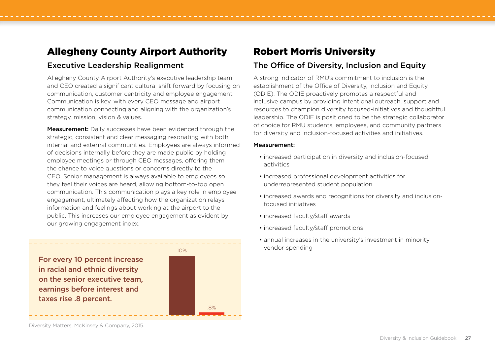## Allegheny County Airport Authority

#### Executive Leadership Realignment

Allegheny County Airport Authority's executive leadership team and CEO created a significant cultural shift forward by focusing on communication, customer centricity and employee engagement. Communication is key, with every CEO message and airport communication connecting and aligning with the organization's strategy, mission, vision & values.

**Measurement:** Daily successes have been evidenced through the strategic, consistent and clear messaging resonating with both internal and external communities. Employees are always informed of decisions internally before they are made public by holding employee meetings or through CEO messages, offering them the chance to voice questions or concerns directly to the CEO. Senior management is always available to employees so they feel their voices are heard, allowing bottom-to-top open communication. This communication plays a key role in employee engagement, ultimately affecting how the organization relays information and feelings about working at the airport to the public. This increases our employee engagement as evident by our growing engagement index.

For every 10 percent increase in racial and ethnic diversity on the senior executive team, earnings before interest and taxes rise .8 percent.



## Robert Morris University

### The Office of Diversity, Inclusion and Equity

A strong indicator of RMU's commitment to inclusion is the establishment of the Office of Diversity, Inclusion and Equity (ODIE). The ODIE proactively promotes a respectful and inclusive campus by providing intentional outreach, support and resources to champion diversity focused-initiatives and thoughtful leadership. The ODIE is positioned to be the strategic collaborator of choice for RMU students, employees, and community partners for diversity and inclusion-focused activities and initiatives.

#### Measurement:

- increased participation in diversity and inclusion-focused activities
- increased professional development activities for underrepresented student population
- increased awards and recognitions for diversity and inclusionfocused initiatives
- increased faculty/staff awards
- increased faculty/staff promotions
- annual increases in the university's investment in minority vendor spending

Diversity Matters, McKinsey & Company, 2015.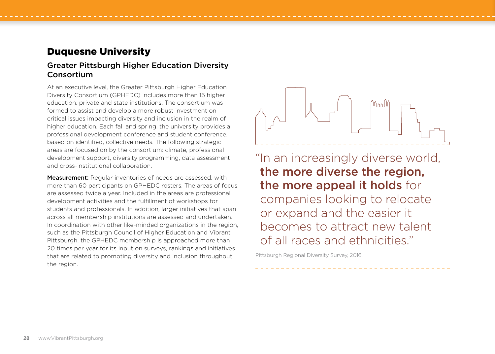## Duquesne University

#### Greater Pittsburgh Higher Education Diversity **Consortium**

At an executive level, the Greater Pittsburgh Higher Education Diversity Consortium (GPHEDC) includes more than 15 higher education, private and state institutions. The consortium was formed to assist and develop a more robust investment on critical issues impacting diversity and inclusion in the realm of higher education. Each fall and spring, the university provides a professional development conference and student conference, based on identified, collective needs. The following strategic areas are focused on by the consortium: climate, professional development support, diversity programming, data assessment and cross-institutional collaboration.

**Measurement:** Regular inventories of needs are assessed, with more than 60 participants on GPHEDC rosters. The areas of focus are assessed twice a year. Included in the areas are professional development activities and the fulfillment of workshops for students and professionals. In addition, larger initiatives that span across all membership institutions are assessed and undertaken. In coordination with other like-minded organizations in the region, such as the Pittsburgh Council of Higher Education and Vibrant Pittsburgh, the GPHEDC membership is approached more than 20 times per year for its input on surveys, rankings and initiatives that are related to promoting diversity and inclusion throughout the region.



"In an increasingly diverse world, the more diverse the region, the more appeal it holds for companies looking to relocate or expand and the easier it becomes to attract new talent of all races and ethnicities."

Pittsburgh Regional Diversity Survey, 2016.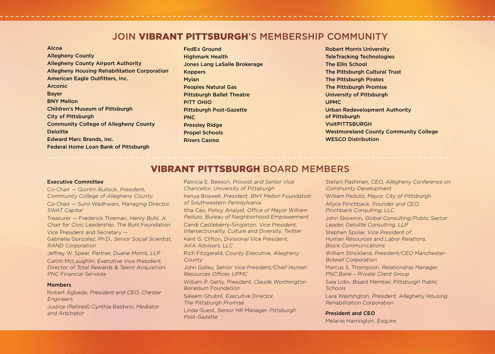## JOIN VIBRANT PITTSBURGH'S MEMBERSHIP COMMUNITY

| Alcoa                                               |
|-----------------------------------------------------|
| <b>Allegheny County</b>                             |
| <b>Allegheny County Airport Authority</b>           |
| <b>Allegheny Housing Rehabilitation Corporation</b> |
| American Eagle Outfitters, Inc.                     |
| Arconic                                             |
| <b>Bayer</b>                                        |
| <b>BNY Mellon</b>                                   |
| <b>Children's Museum of Pittsburgh</b>              |
| City of Pittsburgh                                  |
| <b>Community College of Allegheny County</b>        |
| <b>Deloitte</b>                                     |
| <b>Edward Marc Brands, Inc.</b>                     |
| <b>Federal Home Loan Bank of Pittsburgh</b>         |

FedEx Ground Highmark Health Jones Lang LaSalle Brokerage Koppers Mylan Peoples Natural Gas Pittsburgh Ballet Theatre PITT OHIO Pittsburgh Post-Gazette PNC Pressley Ridge Propel Schools Rivers Casino

Robert Morris University TeleTracking Technologies The Ellis School The Pittsburgh Cultural Trust The Pittsburgh Pirates The Pittsburgh Promise University of Pittsburgh UPMC Urban Redevelopment Authority of Pittsburgh VisitPITTSBURGH Westmoreland County Community College WESCO Distribution

#### VIBRANT PITTSBURGH BOARD MEMBERS

#### Executive Committee

Co-Chair — Quintin Bullock, President, Community College of Allegheny County Co-Chair — Sunil Wadhwani, Managing Director, SWAT Capital

Treasurer — Frederick Thieman, Henry Buhl, Jr. Chair for Civic Leadership, The Buhl Foundation

Vice President and Secretary — Gabriella Gonzalez, Ph.D., Senior Social Scientist, RAND Corporation

Jeffrey W. Spear, Partner, Duane Morris, LLP Caitlin McLaughlin, Executive Vice President, Director of Total Rewards & Talent Acquisition, PNC Financial Services

#### Members

Robert Agbede, President and CEO, Chester Engineers Justice (Retired) Cynthia Baldwin, Mediator and Arbitrator

Patricia E. Beeson, Provost and Senior Vice Chancellor, University of Pittsburgh

Kenya Boswell, President, BNY Mellon Foundation of Southwestern Pennsylvania

Itha Cao, Policy Analyst, Office of Mayor William Peduto, Bureau of Neighborhood Empowerment

Candi Castleberry-Singleton, Vice President, Intersectionality, Culture and Diversity, Twitter

Kent G. Clifton, Divisional Vice President,  $AXA$  Advisors,  $HC$ 

Rich Fitzgerald, County Executive, Allegheny County

John Galley, Senior Vice President/Chief Human Resources Officer, UPMC

William P. Getty, President, Claude Worthington Benedum Foundation

Saleem Ghubril, Executive Director,

The Pittsburgh Promise

Linda Guest, Senior HR Manager, Pittsburgh Post-Gazette

Stefani Pashman, CEO, Allegheny Conference on Community Development William Peduto, Mayor, City of Pittsburgh Allyce Pinchback, Founder and CEO, Pinchback Consulting, LLC John Skowron, Global Consulting/Public Sector Leader, Deloitte Consulting, LLP Stephen Spolar, Vice President of Human Resources and Labor Relations, Block Communications William Strickland, President/CEO Manchester-Bidwell Corporation Marcus S. Thompson, Relationship Manager, PNC Bank – Private Client Group Sala Udin, Board Member, Pittsburgh Public **Schools** Lara Washington, President, Allegheny Housing Rehabilitation Corporation

#### President and CEO

Melanie Harrington, Esquire